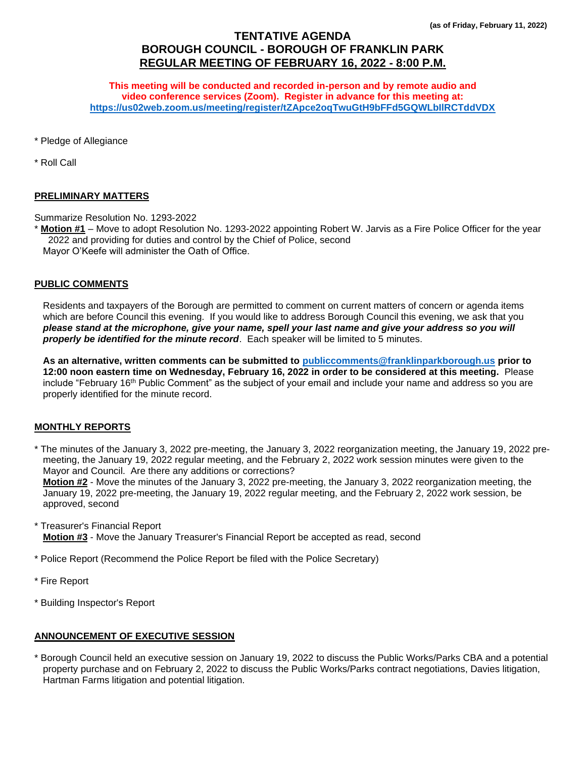# **TENTATIVE AGENDA BOROUGH COUNCIL - BOROUGH OF FRANKLIN PARK REGULAR MEETING OF FEBRUARY 16, 2022 - 8:00 P.M.**

**This meeting will be conducted and recorded in-person and by remote audio and video conference services (Zoom). Register in advance for this meeting at: <https://us02web.zoom.us/meeting/register/tZApce2oqTwuGtH9bFFd5GQWLbIlRCTddVDX>**

\* Pledge of Allegiance

\* Roll Call

#### **PRELIMINARY MATTERS**

Summarize Resolution No. 1293-2022

**Motion #1** – Move to adopt Resolution No. 1293-2022 appointing Robert W. Jarvis as a Fire Police Officer for the year 2022 and providing for duties and control by the Chief of Police, second Mayor O'Keefe will administer the Oath of Office.

#### **PUBLIC COMMENTS**

Residents and taxpayers of the Borough are permitted to comment on current matters of concern or agenda items which are before Council this evening. If you would like to address Borough Council this evening, we ask that you *please stand at the microphone, give your name, spell your last name and give your address so you will properly be identified for the minute record*. Each speaker will be limited to 5 minutes.

**As an alternative, written comments can be submitted to [publiccomments@franklinparkborough.us](mailto:publiccomments@franklinparkborough.us) prior to 12:00 noon eastern time on Wednesday, February 16, 2022 in order to be considered at this meeting.** Please include "February 16th Public Comment" as the subject of your email and include your name and address so you are properly identified for the minute record.

### **MONTHLY REPORTS**

\* The minutes of the January 3, 2022 pre-meeting, the January 3, 2022 reorganization meeting, the January 19, 2022 premeeting, the January 19, 2022 regular meeting, and the February 2, 2022 work session minutes were given to the Mayor and Council. Are there any additions or corrections?

**Motion #2** - Move the minutes of the January 3, 2022 pre-meeting, the January 3, 2022 reorganization meeting, the January 19, 2022 pre-meeting, the January 19, 2022 regular meeting, and the February 2, 2022 work session, be approved, second

\* Treasurer's Financial Report

**Motion #3** - Move the January Treasurer's Financial Report be accepted as read, second

\* Police Report (Recommend the Police Report be filed with the Police Secretary)

- \* Fire Report
- \* Building Inspector's Report

#### **ANNOUNCEMENT OF EXECUTIVE SESSION**

\* Borough Council held an executive session on January 19, 2022 to discuss the Public Works/Parks CBA and a potential property purchase and on February 2, 2022 to discuss the Public Works/Parks contract negotiations, Davies litigation, Hartman Farms litigation and potential litigation.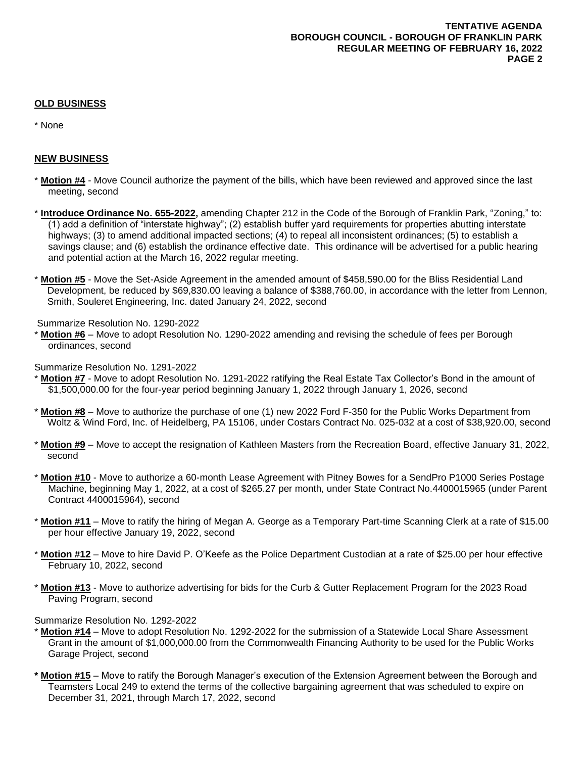## **OLD BUSINESS**

\* None

## **NEW BUSINESS**

- \* **Motion #4** Move Council authorize the payment of the bills, which have been reviewed and approved since the last meeting, second
- \* **Introduce Ordinance No. 655-2022,** amending Chapter 212 in the Code of the Borough of Franklin Park, "Zoning," to: (1) add a definition of "interstate highway"; (2) establish buffer yard requirements for properties abutting interstate highways; (3) to amend additional impacted sections; (4) to repeal all inconsistent ordinances; (5) to establish a savings clause; and (6) establish the ordinance effective date. This ordinance will be advertised for a public hearing and potential action at the March 16, 2022 regular meeting.
- \* **Motion #5** Move the Set-Aside Agreement in the amended amount of \$458,590.00 for the Bliss Residential Land Development, be reduced by \$69,830.00 leaving a balance of \$388,760.00, in accordance with the letter from Lennon, Smith, Souleret Engineering, Inc. dated January 24, 2022, second

Summarize Resolution No. 1290-2022

\* **Motion #6** – Move to adopt Resolution No. 1290-2022 amending and revising the schedule of fees per Borough ordinances, second

Summarize Resolution No. 1291-2022

- **Motion #7** Move to adopt Resolution No. 1291-2022 ratifying the Real Estate Tax Collector's Bond in the amount of \$1,500,000.00 for the four-year period beginning January 1, 2022 through January 1, 2026, second
- \* **Motion #8** Move to authorize the purchase of one (1) new 2022 Ford F-350 for the Public Works Department from Woltz & Wind Ford, Inc. of Heidelberg, PA 15106, under Costars Contract No. 025-032 at a cost of \$38,920.00, second
- \* **Motion #9** Move to accept the resignation of Kathleen Masters from the Recreation Board, effective January 31, 2022, second
- \* **Motion #10** Move to authorize a 60-month Lease Agreement with Pitney Bowes for a SendPro P1000 Series Postage Machine, beginning May 1, 2022, at a cost of \$265.27 per month, under State Contract No.4400015965 (under Parent Contract 4400015964), second
- \* **Motion #11** Move to ratify the hiring of Megan A. George as a Temporary Part-time Scanning Clerk at a rate of \$15.00 per hour effective January 19, 2022, second
- \* **Motion #12** Move to hire David P. O'Keefe as the Police Department Custodian at a rate of \$25.00 per hour effective February 10, 2022, second
- \* **Motion #13** Move to authorize advertising for bids for the Curb & Gutter Replacement Program for the 2023 Road Paving Program, second

Summarize Resolution No. 1292-2022

- \* **Motion #14** Move to adopt Resolution No. 1292-2022 for the submission of a Statewide Local Share Assessment Grant in the amount of \$1,000,000.00 from the Commonwealth Financing Authority to be used for the Public Works Garage Project, second
- **\* Motion #15** Move to ratify the Borough Manager's execution of the Extension Agreement between the Borough and Teamsters Local 249 to extend the terms of the collective bargaining agreement that was scheduled to expire on December 31, 2021, through March 17, 2022, second